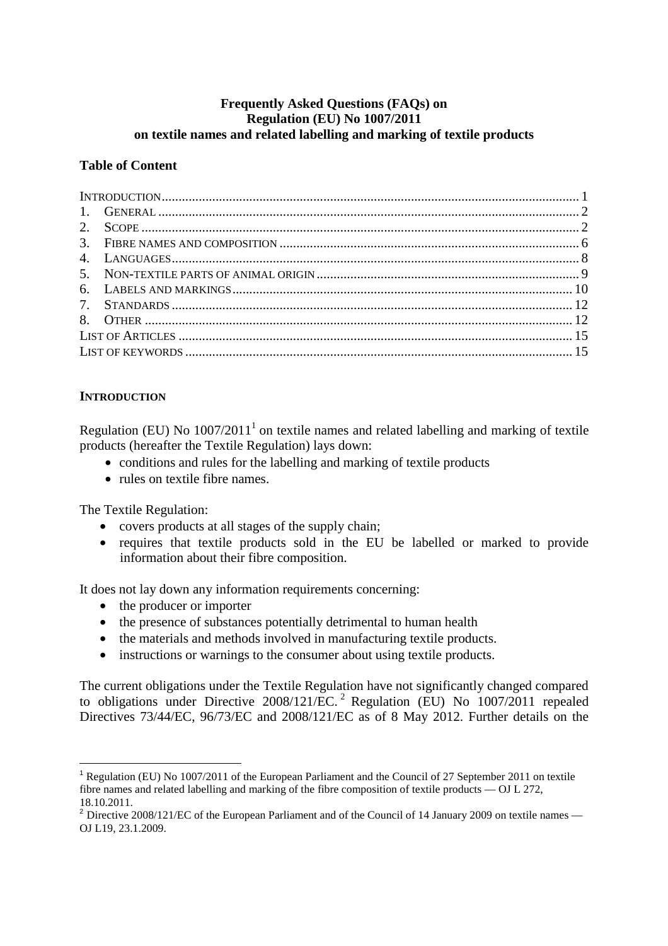# **Frequently Asked Questions (FAQs) on Regulation (EU) No 1007/2011 on textile names and related labelling and marking of textile products**

#### **Table of Content**

## **INTRODUCTION**

Regulation (EU) No  $1007/2011<sup>1</sup>$  on textile names and related labelling and marking of textile products (hereafter the Textile Regulation) lays down:

- conditions and rules for the labelling and marking of textile products
- rules on textile fibre names.

The Textile Regulation:

- covers products at all stages of the supply chain;
- requires that textile products sold in the EU be labelled or marked to provide information about their fibre composition.

It does not lay down any information requirements concerning:

- the producer or importer
- the presence of substances potentially detrimental to human health
- the materials and methods involved in manufacturing textile products.
- instructions or warnings to the consumer about using textile products.

The current obligations under the Textile Regulation have not significantly changed compared to obligations under Directive 2008/121/EC.<sup>2</sup> Regulation (EU) No 1007/2011 repealed Directives 73/44/EC, 96/73/EC and 2008/121/EC as of 8 May 2012. Further details on the

 $\overline{a}$ <sup>1</sup> Regulation (EU) No 1007/2011 of the European Parliament and the Council of 27 September 2011 on textile fibre names and related labelling and marking of the fibre composition of textile products — OJ L 272, 18.10.2011.

 $2$  Directive 2008/121/EC of the European Parliament and of the Council of 14 January 2009 on textile names — OJ L19, 23.1.2009.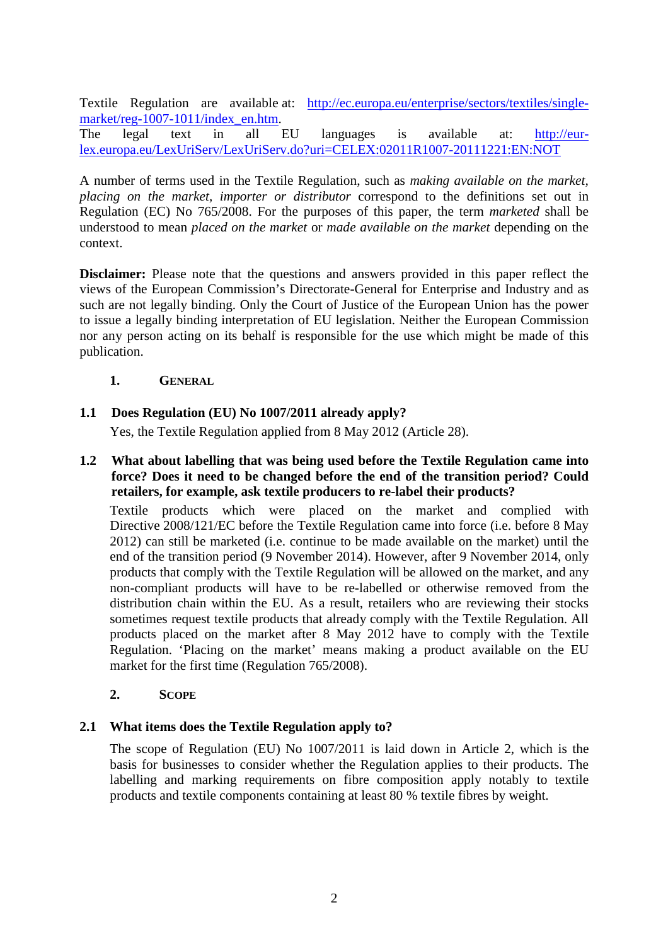Textile Regulation are available at: http://ec.europa.eu/enterprise/sectors/textiles/singlemarket/reg-1007-1011/index\_en.htm.

The legal text in all EU languages is available at: http://eurlex.europa.eu/LexUriServ/LexUriServ.do?uri=CELEX:02011R1007-20111221:EN:NOT

A number of terms used in the Textile Regulation, such as *making available on the market, placing on the market, importer or distributor* correspond to the definitions set out in Regulation (EC) No 765/2008. For the purposes of this paper, the term *marketed* shall be understood to mean *placed on the market* or *made available on the market* depending on the context.

**Disclaimer:** Please note that the questions and answers provided in this paper reflect the views of the European Commission's Directorate-General for Enterprise and Industry and as such are not legally binding. Only the Court of Justice of the European Union has the power to issue a legally binding interpretation of EU legislation. Neither the European Commission nor any person acting on its behalf is responsible for the use which might be made of this publication.

## **1. GENERAL**

# **1.1 Does Regulation (EU) No 1007/2011 already apply?**

Yes, the Textile Regulation applied from 8 May 2012 (Article 28).

**1.2 What about labelling that was being used before the Textile Regulation came into force? Does it need to be changed before the end of the transition period? Could retailers, for example, ask textile producers to re-label their products?** 

Textile products which were placed on the market and complied with Directive 2008/121/EC before the Textile Regulation came into force (i.e. before 8 May 2012) can still be marketed (i.e. continue to be made available on the market) until the end of the transition period (9 November 2014). However, after 9 November 2014, only products that comply with the Textile Regulation will be allowed on the market, and any non-compliant products will have to be re-labelled or otherwise removed from the distribution chain within the EU. As a result, retailers who are reviewing their stocks sometimes request textile products that already comply with the Textile Regulation. All products placed on the market after 8 May 2012 have to comply with the Textile Regulation. 'Placing on the market' means making a product available on the EU market for the first time (Regulation 765/2008).

#### **2. SCOPE**

# **2.1 What items does the Textile Regulation apply to?**

The scope of Regulation (EU) No 1007/2011 is laid down in Article 2, which is the basis for businesses to consider whether the Regulation applies to their products. The labelling and marking requirements on fibre composition apply notably to textile products and textile components containing at least 80 % textile fibres by weight.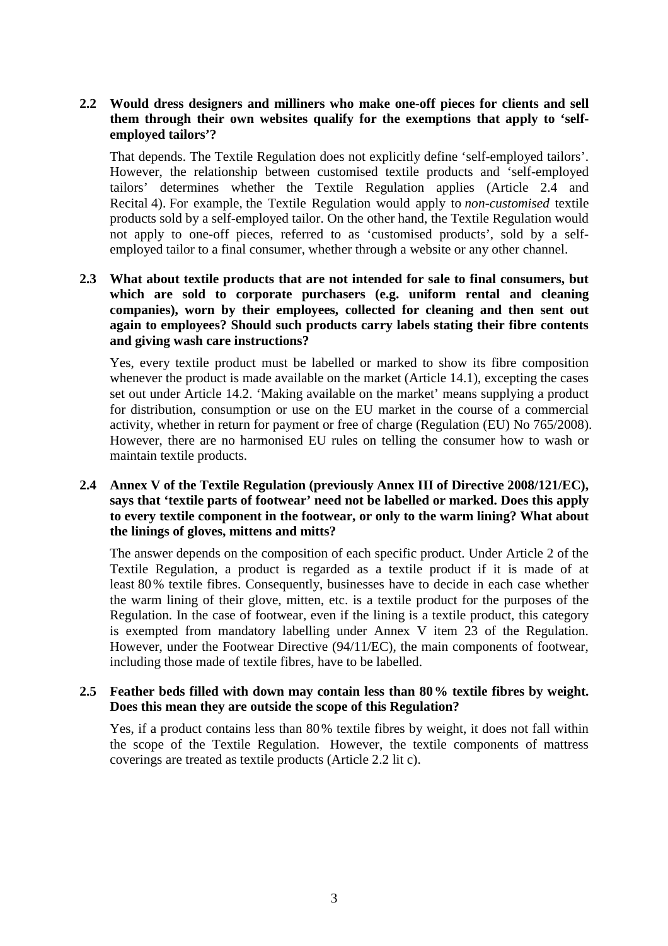# **2.2 Would dress designers and milliners who make one-off pieces for clients and sell them through their own websites qualify for the exemptions that apply to 'selfemployed tailors'?**

That depends. The Textile Regulation does not explicitly define 'self-employed tailors'. However, the relationship between customised textile products and 'self-employed tailors' determines whether the Textile Regulation applies (Article 2.4 and Recital 4). For example, the Textile Regulation would apply to *non-customised* textile products sold by a self-employed tailor. On the other hand, the Textile Regulation would not apply to one-off pieces, referred to as 'customised products', sold by a selfemployed tailor to a final consumer, whether through a website or any other channel.

# **2.3 What about textile products that are not intended for sale to final consumers, but which are sold to corporate purchasers (e.g. uniform rental and cleaning companies), worn by their employees, collected for cleaning and then sent out again to employees? Should such products carry labels stating their fibre contents and giving wash care instructions?**

Yes, every textile product must be labelled or marked to show its fibre composition whenever the product is made available on the market (Article 14.1), excepting the cases set out under Article 14.2. 'Making available on the market' means supplying a product for distribution, consumption or use on the EU market in the course of a commercial activity, whether in return for payment or free of charge (Regulation (EU) No 765/2008). However, there are no harmonised EU rules on telling the consumer how to wash or maintain textile products.

# **2.4 Annex V of the Textile Regulation (previously Annex III of Directive 2008/121/EC), says that 'textile parts of footwear' need not be labelled or marked. Does this apply to every textile component in the footwear, or only to the warm lining? What about the linings of gloves, mittens and mitts?**

The answer depends on the composition of each specific product. Under Article 2 of the Textile Regulation, a product is regarded as a textile product if it is made of at least 80% textile fibres. Consequently, businesses have to decide in each case whether the warm lining of their glove, mitten, etc. is a textile product for the purposes of the Regulation. In the case of footwear, even if the lining is a textile product, this category is exempted from mandatory labelling under Annex V item 23 of the Regulation. However, under the Footwear Directive (94/11/EC), the main components of footwear, including those made of textile fibres, have to be labelled.

#### **2.5 Feather beds filled with down may contain less than 80% textile fibres by weight. Does this mean they are outside the scope of this Regulation?**

Yes, if a product contains less than 80% textile fibres by weight, it does not fall within the scope of the Textile Regulation. However, the textile components of mattress coverings are treated as textile products (Article 2.2 lit c).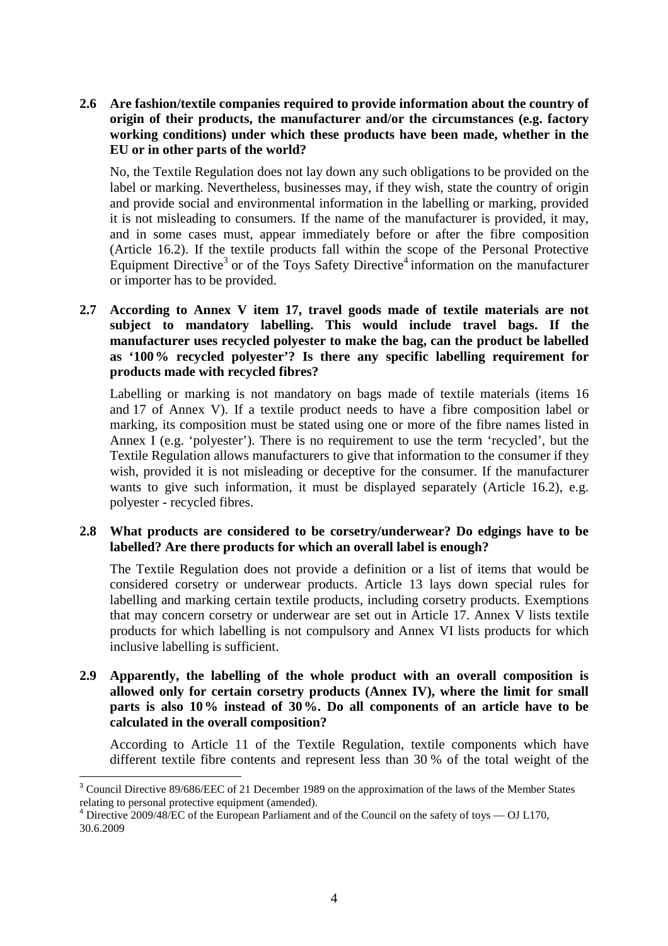**2.6 Are fashion/textile companies required to provide information about the country of origin of their products, the manufacturer and/or the circumstances (e.g. factory working conditions) under which these products have been made, whether in the EU or in other parts of the world?** 

No, the Textile Regulation does not lay down any such obligations to be provided on the label or marking. Nevertheless, businesses may, if they wish, state the country of origin and provide social and environmental information in the labelling or marking, provided it is not misleading to consumers. If the name of the manufacturer is provided, it may, and in some cases must, appear immediately before or after the fibre composition (Article 16.2). If the textile products fall within the scope of the Personal Protective Equipment Directive<sup>3</sup> or of the Toys Safety Directive<sup>4</sup> information on the manufacturer or importer has to be provided.

**2.7 According to Annex V item 17, travel goods made of textile materials are not subject to mandatory labelling. This would include travel bags. If the manufacturer uses recycled polyester to make the bag, can the product be labelled as '100% recycled polyester'? Is there any specific labelling requirement for products made with recycled fibres?** 

Labelling or marking is not mandatory on bags made of textile materials (items 16 and 17 of Annex V). If a textile product needs to have a fibre composition label or marking, its composition must be stated using one or more of the fibre names listed in Annex I (e.g. 'polyester'). There is no requirement to use the term 'recycled', but the Textile Regulation allows manufacturers to give that information to the consumer if they wish, provided it is not misleading or deceptive for the consumer. If the manufacturer wants to give such information, it must be displayed separately (Article 16.2), e.g. polyester - recycled fibres.

## **2.8 What products are considered to be corsetry/underwear? Do edgings have to be labelled? Are there products for which an overall label is enough?**

The Textile Regulation does not provide a definition or a list of items that would be considered corsetry or underwear products. Article 13 lays down special rules for labelling and marking certain textile products, including corsetry products. Exemptions that may concern corsetry or underwear are set out in Article 17. Annex V lists textile products for which labelling is not compulsory and Annex VI lists products for which inclusive labelling is sufficient.

**2.9 Apparently, the labelling of the whole product with an overall composition is allowed only for certain corsetry products (Annex IV), where the limit for small parts is also 10% instead of 30%. Do all components of an article have to be calculated in the overall composition?** 

According to Article 11 of the Textile Regulation, textile components which have different textile fibre contents and represent less than 30 % of the total weight of the

 $\overline{a}$ 

<sup>&</sup>lt;sup>3</sup> Council Directive 89/686/EEC of 21 December 1989 on the approximation of the laws of the Member States relating to personal protective equipment (amended).

 $^{4}$  Directive 2009/48/EC of the European Parliament and of the Council on the safety of toys  $-$  OJ L170, 30.6.2009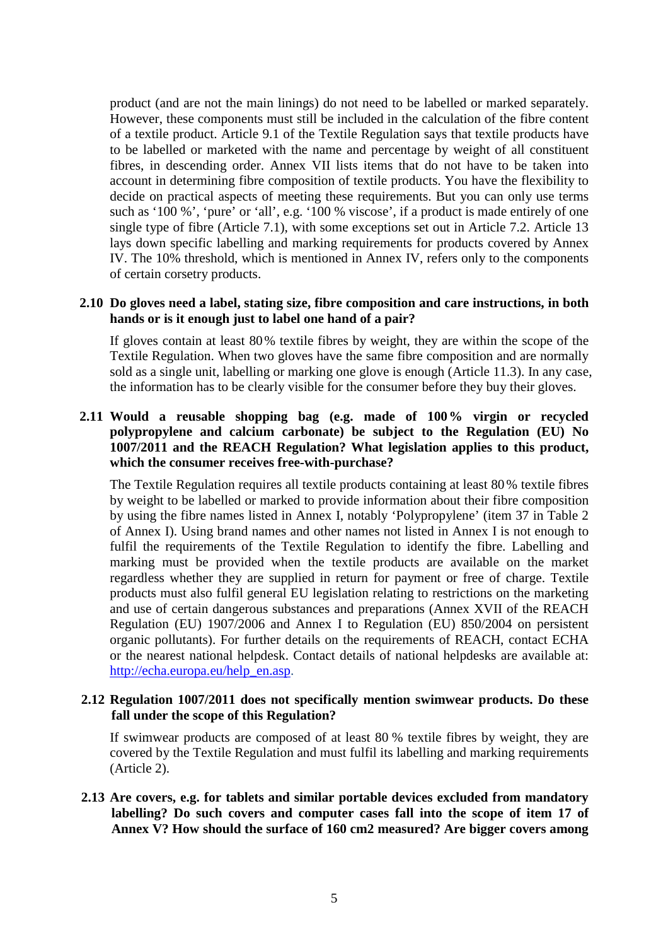product (and are not the main linings) do not need to be labelled or marked separately. However, these components must still be included in the calculation of the fibre content of a textile product. Article 9.1 of the Textile Regulation says that textile products have to be labelled or marketed with the name and percentage by weight of all constituent fibres, in descending order. Annex VII lists items that do not have to be taken into account in determining fibre composition of textile products. You have the flexibility to decide on practical aspects of meeting these requirements. But you can only use terms such as '100 %', 'pure' or 'all', e.g. '100 % viscose', if a product is made entirely of one single type of fibre (Article 7.1), with some exceptions set out in Article 7.2. Article 13 lays down specific labelling and marking requirements for products covered by Annex IV. The 10% threshold, which is mentioned in Annex IV, refers only to the components of certain corsetry products.

#### **2.10 Do gloves need a label, stating size, fibre composition and care instructions, in both hands or is it enough just to label one hand of a pair?**

If gloves contain at least 80% textile fibres by weight, they are within the scope of the Textile Regulation. When two gloves have the same fibre composition and are normally sold as a single unit, labelling or marking one glove is enough (Article 11.3). In any case, the information has to be clearly visible for the consumer before they buy their gloves.

## **2.11 Would a reusable shopping bag (e.g. made of 100% virgin or recycled polypropylene and calcium carbonate) be subject to the Regulation (EU) No 1007/2011 and the REACH Regulation? What legislation applies to this product, which the consumer receives free-with-purchase?**

The Textile Regulation requires all textile products containing at least 80% textile fibres by weight to be labelled or marked to provide information about their fibre composition by using the fibre names listed in Annex I, notably 'Polypropylene' (item 37 in Table 2 of Annex I). Using brand names and other names not listed in Annex I is not enough to fulfil the requirements of the Textile Regulation to identify the fibre. Labelling and marking must be provided when the textile products are available on the market regardless whether they are supplied in return for payment or free of charge. Textile products must also fulfil general EU legislation relating to restrictions on the marketing and use of certain dangerous substances and preparations (Annex XVII of the REACH Regulation (EU) 1907/2006 and Annex I to Regulation (EU) 850/2004 on persistent organic pollutants). For further details on the requirements of REACH, contact ECHA or the nearest national helpdesk. Contact details of national helpdesks are available at: http://echa.europa.eu/help\_en.asp.

## **2.12 Regulation 1007/2011 does not specifically mention swimwear products. Do these fall under the scope of this Regulation?**

If swimwear products are composed of at least 80 % textile fibres by weight, they are covered by the Textile Regulation and must fulfil its labelling and marking requirements (Article 2).

**2.13 Are covers, e.g. for tablets and similar portable devices excluded from mandatory labelling? Do such covers and computer cases fall into the scope of item 17 of Annex V? How should the surface of 160 cm2 measured? Are bigger covers among**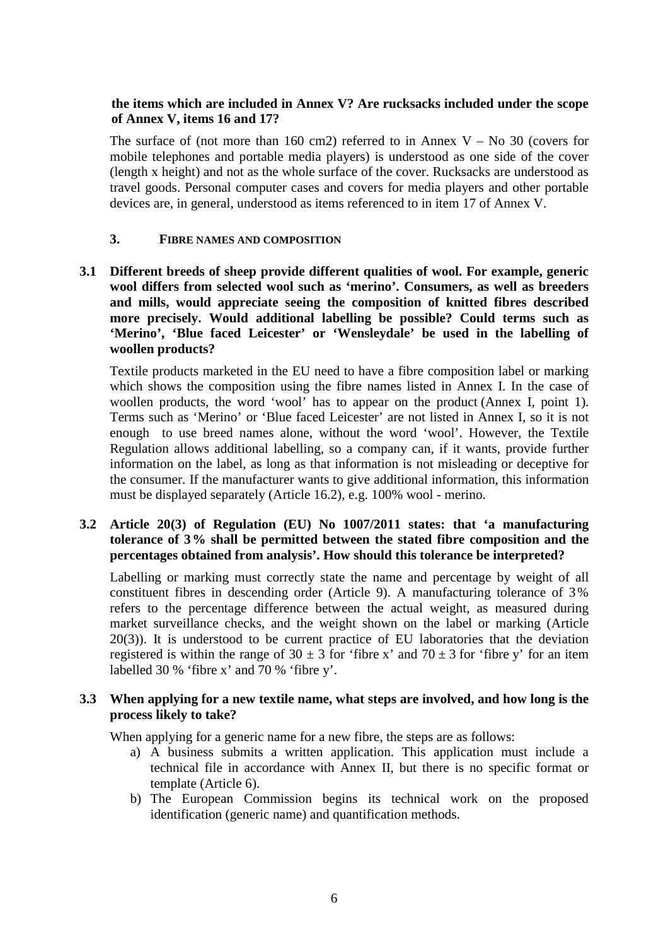# **the items which are included in Annex V? Are rucksacks included under the scope of Annex V, items 16 and 17?**

The surface of (not more than 160 cm2) referred to in Annex  $V - No$  30 (covers for mobile telephones and portable media players) is understood as one side of the cover (length x height) and not as the whole surface of the cover. Rucksacks are understood as travel goods. Personal computer cases and covers for media players and other portable devices are, in general, understood as items referenced to in item 17 of Annex V.

#### **3. FIBRE NAMES AND COMPOSITION**

**3.1 Different breeds of sheep provide different qualities of wool. For example, generic wool differs from selected wool such as 'merino'. Consumers, as well as breeders and mills, would appreciate seeing the composition of knitted fibres described more precisely. Would additional labelling be possible? Could terms such as 'Merino', 'Blue faced Leicester' or 'Wensleydale' be used in the labelling of woollen products?** 

Textile products marketed in the EU need to have a fibre composition label or marking which shows the composition using the fibre names listed in Annex I. In the case of woollen products, the word 'wool' has to appear on the product (Annex I, point 1). Terms such as 'Merino' or 'Blue faced Leicester' are not listed in Annex I, so it is not enough to use breed names alone, without the word 'wool'. However, the Textile Regulation allows additional labelling, so a company can, if it wants, provide further information on the label, as long as that information is not misleading or deceptive for the consumer. If the manufacturer wants to give additional information, this information must be displayed separately (Article 16.2), e.g. 100% wool - merino.

### **3.2 Article 20(3) of Regulation (EU) No 1007/2011 states: that 'a manufacturing tolerance of 3% shall be permitted between the stated fibre composition and the percentages obtained from analysis'. How should this tolerance be interpreted?**

Labelling or marking must correctly state the name and percentage by weight of all constituent fibres in descending order (Article 9). A manufacturing tolerance of 3% refers to the percentage difference between the actual weight, as measured during market surveillance checks, and the weight shown on the label or marking (Article 20(3)). It is understood to be current practice of EU laboratories that the deviation registered is within the range of  $30 \pm 3$  for 'fibre x' and  $70 \pm 3$  for 'fibre y' for an item labelled 30 % 'fibre x' and 70 % 'fibre y'.

## **3.3 When applying for a new textile name, what steps are involved, and how long is the process likely to take?**

When applying for a generic name for a new fibre, the steps are as follows:

- a) A business submits a written application. This application must include a technical file in accordance with Annex II, but there is no specific format or template (Article 6).
- b) The European Commission begins its technical work on the proposed identification (generic name) and quantification methods.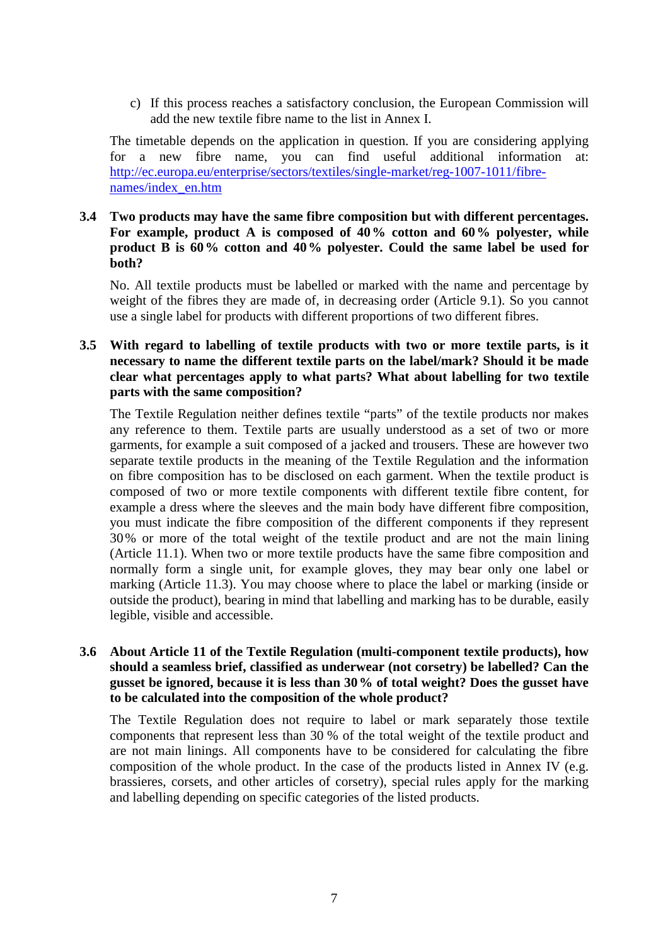c) If this process reaches a satisfactory conclusion, the European Commission will add the new textile fibre name to the list in Annex I.

The timetable depends on the application in question. If you are considering applying for a new fibre name, you can find useful additional information at: http://ec.europa.eu/enterprise/sectors/textiles/single-market/reg-1007-1011/fibrenames/index\_en.htm

# **3.4 Two products may have the same fibre composition but with different percentages. For example, product A is composed of 40% cotton and 60% polyester, while product B is 60% cotton and 40% polyester. Could the same label be used for both?**

No. All textile products must be labelled or marked with the name and percentage by weight of the fibres they are made of, in decreasing order (Article 9.1). So you cannot use a single label for products with different proportions of two different fibres.

# **3.5 With regard to labelling of textile products with two or more textile parts, is it necessary to name the different textile parts on the label/mark? Should it be made clear what percentages apply to what parts? What about labelling for two textile parts with the same composition?**

The Textile Regulation neither defines textile "parts" of the textile products nor makes any reference to them. Textile parts are usually understood as a set of two or more garments, for example a suit composed of a jacked and trousers. These are however two separate textile products in the meaning of the Textile Regulation and the information on fibre composition has to be disclosed on each garment. When the textile product is composed of two or more textile components with different textile fibre content, for example a dress where the sleeves and the main body have different fibre composition, you must indicate the fibre composition of the different components if they represent 30% or more of the total weight of the textile product and are not the main lining (Article 11.1). When two or more textile products have the same fibre composition and normally form a single unit, for example gloves, they may bear only one label or marking (Article 11.3). You may choose where to place the label or marking (inside or outside the product), bearing in mind that labelling and marking has to be durable, easily legible, visible and accessible.

## **3.6 About Article 11 of the Textile Regulation (multi-component textile products), how should a seamless brief, classified as underwear (not corsetry) be labelled? Can the gusset be ignored, because it is less than 30% of total weight? Does the gusset have to be calculated into the composition of the whole product?**

The Textile Regulation does not require to label or mark separately those textile components that represent less than 30 % of the total weight of the textile product and are not main linings. All components have to be considered for calculating the fibre composition of the whole product. In the case of the products listed in Annex IV (e.g. brassieres, corsets, and other articles of corsetry), special rules apply for the marking and labelling depending on specific categories of the listed products.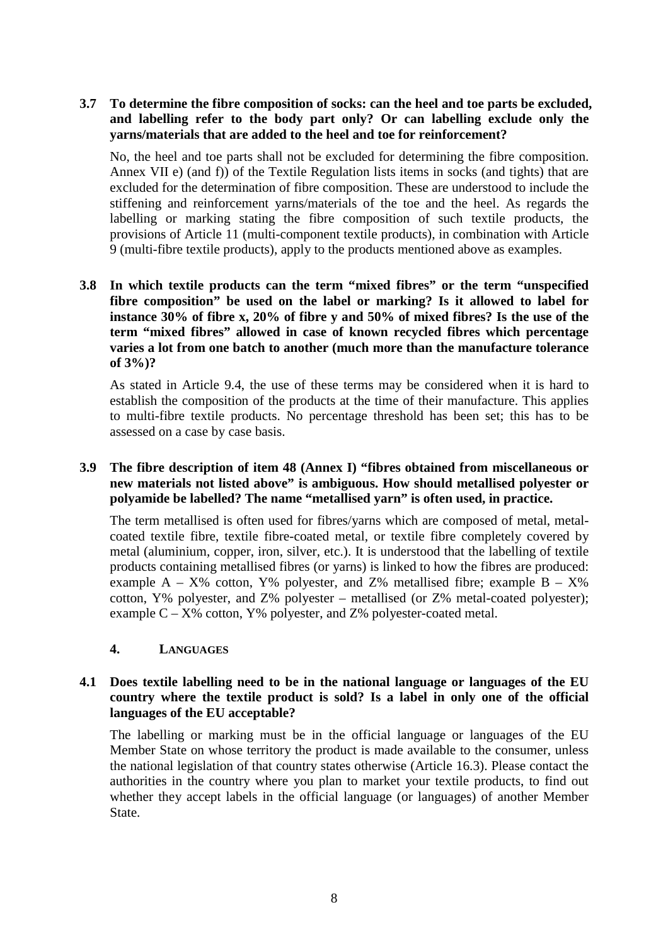**3.7 To determine the fibre composition of socks: can the heel and toe parts be excluded, and labelling refer to the body part only? Or can labelling exclude only the yarns/materials that are added to the heel and toe for reinforcement?** 

No, the heel and toe parts shall not be excluded for determining the fibre composition. Annex VII e) (and f)) of the Textile Regulation lists items in socks (and tights) that are excluded for the determination of fibre composition. These are understood to include the stiffening and reinforcement yarns/materials of the toe and the heel. As regards the labelling or marking stating the fibre composition of such textile products, the provisions of Article 11 (multi-component textile products), in combination with Article 9 (multi-fibre textile products), apply to the products mentioned above as examples.

**3.8 In which textile products can the term "mixed fibres" or the term "unspecified fibre composition" be used on the label or marking? Is it allowed to label for instance 30% of fibre x, 20% of fibre y and 50% of mixed fibres? Is the use of the term "mixed fibres" allowed in case of known recycled fibres which percentage varies a lot from one batch to another (much more than the manufacture tolerance of 3%)?** 

As stated in Article 9.4, the use of these terms may be considered when it is hard to establish the composition of the products at the time of their manufacture. This applies to multi-fibre textile products. No percentage threshold has been set; this has to be assessed on a case by case basis.

# **3.9 The fibre description of item 48 (Annex I) "fibres obtained from miscellaneous or new materials not listed above" is ambiguous. How should metallised polyester or polyamide be labelled? The name "metallised yarn" is often used, in practice.**

The term metallised is often used for fibres/yarns which are composed of metal, metalcoated textile fibre, textile fibre-coated metal, or textile fibre completely covered by metal (aluminium, copper, iron, silver, etc.). It is understood that the labelling of textile products containing metallised fibres (or yarns) is linked to how the fibres are produced: example  $A - X\%$  cotton, Y% polyester, and Z% metallised fibre; example  $B - X\%$ cotton, Y% polyester, and Z% polyester – metallised (or Z% metal-coated polyester); example  $C - X\%$  cotton,  $Y\%$  polyester, and  $Z\%$  polyester-coated metal.

#### **4. LANGUAGES**

# **4.1 Does textile labelling need to be in the national language or languages of the EU country where the textile product is sold? Is a label in only one of the official languages of the EU acceptable?**

The labelling or marking must be in the official language or languages of the EU Member State on whose territory the product is made available to the consumer, unless the national legislation of that country states otherwise (Article 16.3). Please contact the authorities in the country where you plan to market your textile products, to find out whether they accept labels in the official language (or languages) of another Member State.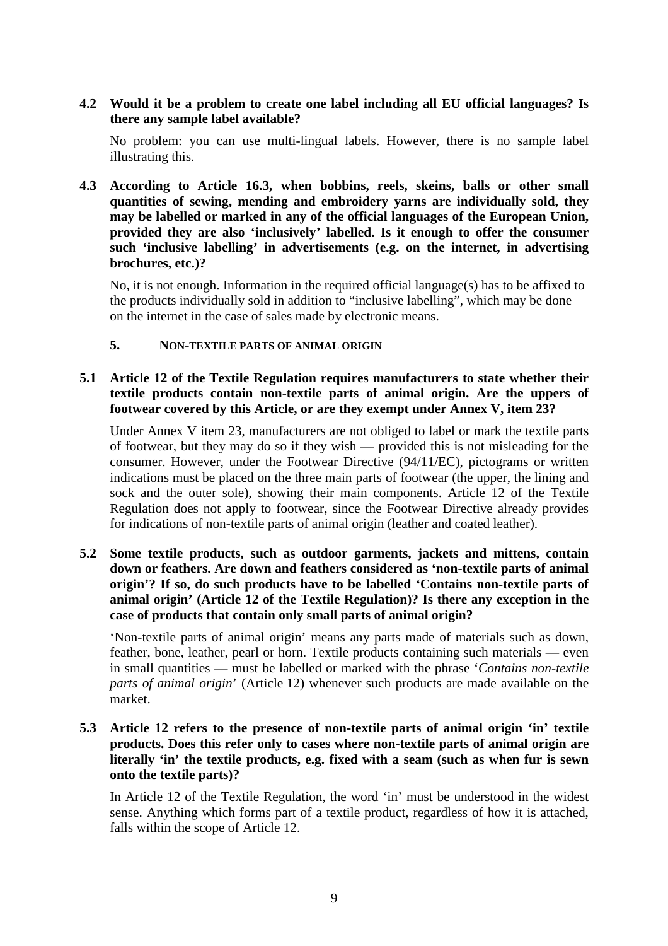# **4.2 Would it be a problem to create one label including all EU official languages? Is there any sample label available?**

No problem: you can use multi-lingual labels. However, there is no sample label illustrating this.

**4.3 According to Article 16.3, when bobbins, reels, skeins, balls or other small quantities of sewing, mending and embroidery yarns are individually sold, they may be labelled or marked in any of the official languages of the European Union, provided they are also 'inclusively' labelled. Is it enough to offer the consumer such 'inclusive labelling' in advertisements (e.g. on the internet, in advertising brochures, etc.)?** 

No, it is not enough. Information in the required official language(s) has to be affixed to the products individually sold in addition to "inclusive labelling", which may be done on the internet in the case of sales made by electronic means.

# **5. NON-TEXTILE PARTS OF ANIMAL ORIGIN**

## **5.1 Article 12 of the Textile Regulation requires manufacturers to state whether their textile products contain non-textile parts of animal origin. Are the uppers of footwear covered by this Article, or are they exempt under Annex V, item 23?**

Under Annex V item 23, manufacturers are not obliged to label or mark the textile parts of footwear, but they may do so if they wish — provided this is not misleading for the consumer. However, under the Footwear Directive (94/11/EC), pictograms or written indications must be placed on the three main parts of footwear (the upper, the lining and sock and the outer sole), showing their main components. Article 12 of the Textile Regulation does not apply to footwear, since the Footwear Directive already provides for indications of non-textile parts of animal origin (leather and coated leather).

# **5.2 Some textile products, such as outdoor garments, jackets and mittens, contain down or feathers. Are down and feathers considered as 'non-textile parts of animal origin'? If so, do such products have to be labelled 'Contains non-textile parts of animal origin' (Article 12 of the Textile Regulation)? Is there any exception in the case of products that contain only small parts of animal origin?**

'Non-textile parts of animal origin' means any parts made of materials such as down, feather, bone, leather, pearl or horn. Textile products containing such materials — even in small quantities — must be labelled or marked with the phrase '*Contains non-textile parts of animal origin*' (Article 12) whenever such products are made available on the market.

# **5.3 Article 12 refers to the presence of non-textile parts of animal origin 'in' textile products. Does this refer only to cases where non-textile parts of animal origin are literally 'in' the textile products, e.g. fixed with a seam (such as when fur is sewn onto the textile parts)?**

In Article 12 of the Textile Regulation, the word 'in' must be understood in the widest sense. Anything which forms part of a textile product, regardless of how it is attached, falls within the scope of Article 12.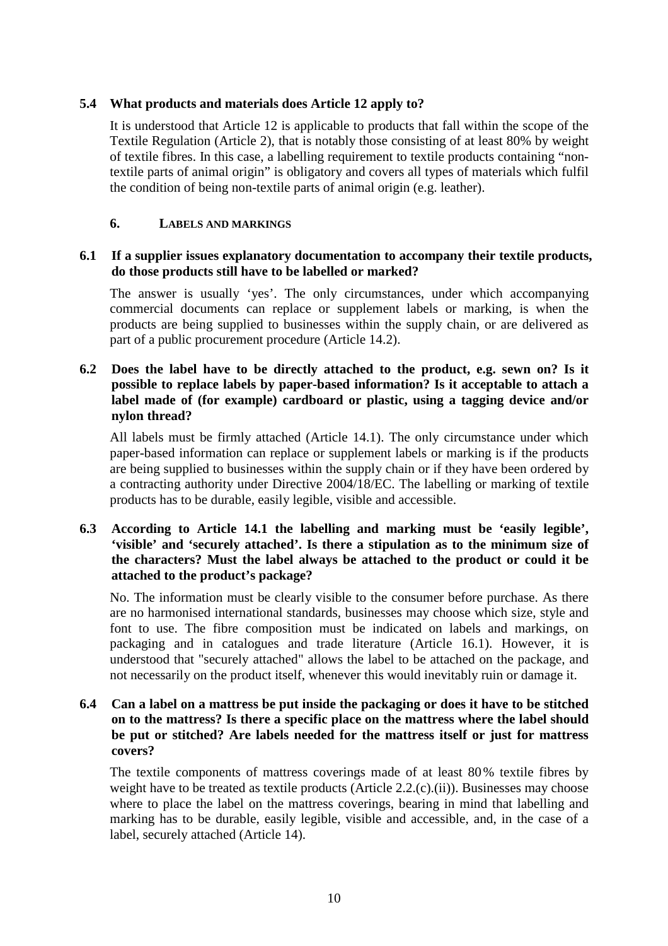# **5.4 What products and materials does Article 12 apply to?**

It is understood that Article 12 is applicable to products that fall within the scope of the Textile Regulation (Article 2), that is notably those consisting of at least 80% by weight of textile fibres. In this case, a labelling requirement to textile products containing "nontextile parts of animal origin" is obligatory and covers all types of materials which fulfil the condition of being non-textile parts of animal origin (e.g. leather).

#### **6. LABELS AND MARKINGS**

#### **6.1 If a supplier issues explanatory documentation to accompany their textile products, do those products still have to be labelled or marked?**

The answer is usually 'yes'. The only circumstances, under which accompanying commercial documents can replace or supplement labels or marking, is when the products are being supplied to businesses within the supply chain, or are delivered as part of a public procurement procedure (Article 14.2).

## **6.2 Does the label have to be directly attached to the product, e.g. sewn on? Is it possible to replace labels by paper-based information? Is it acceptable to attach a label made of (for example) cardboard or plastic, using a tagging device and/or nylon thread?**

All labels must be firmly attached (Article 14.1). The only circumstance under which paper-based information can replace or supplement labels or marking is if the products are being supplied to businesses within the supply chain or if they have been ordered by a contracting authority under Directive 2004/18/EC. The labelling or marking of textile products has to be durable, easily legible, visible and accessible.

# **6.3 According to Article 14.1 the labelling and marking must be 'easily legible', 'visible' and 'securely attached'. Is there a stipulation as to the minimum size of the characters? Must the label always be attached to the product or could it be attached to the product's package?**

No. The information must be clearly visible to the consumer before purchase. As there are no harmonised international standards, businesses may choose which size, style and font to use. The fibre composition must be indicated on labels and markings, on packaging and in catalogues and trade literature (Article 16.1). However, it is understood that "securely attached" allows the label to be attached on the package, and not necessarily on the product itself, whenever this would inevitably ruin or damage it.

## **6.4 Can a label on a mattress be put inside the packaging or does it have to be stitched on to the mattress? Is there a specific place on the mattress where the label should be put or stitched? Are labels needed for the mattress itself or just for mattress covers?**

The textile components of mattress coverings made of at least 80% textile fibres by weight have to be treated as textile products (Article 2.2.(c).(ii)). Businesses may choose where to place the label on the mattress coverings, bearing in mind that labelling and marking has to be durable, easily legible, visible and accessible, and, in the case of a label, securely attached (Article 14).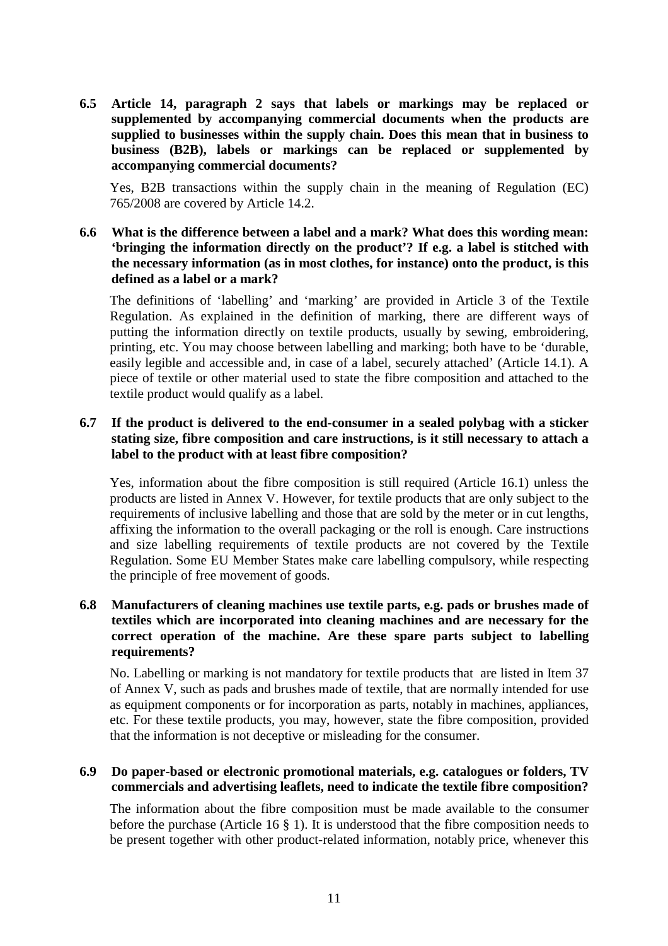**6.5 Article 14, paragraph 2 says that labels or markings may be replaced or supplemented by accompanying commercial documents when the products are supplied to businesses within the supply chain. Does this mean that in business to business (B2B), labels or markings can be replaced or supplemented by accompanying commercial documents?** 

Yes, B2B transactions within the supply chain in the meaning of Regulation (EC) 765/2008 are covered by Article 14.2.

**6.6 What is the difference between a label and a mark? What does this wording mean: 'bringing the information directly on the product'? If e.g. a label is stitched with the necessary information (as in most clothes, for instance) onto the product, is this defined as a label or a mark?** 

The definitions of 'labelling' and 'marking' are provided in Article 3 of the Textile Regulation. As explained in the definition of marking, there are different ways of putting the information directly on textile products, usually by sewing, embroidering, printing, etc. You may choose between labelling and marking; both have to be 'durable, easily legible and accessible and, in case of a label, securely attached' (Article 14.1). A piece of textile or other material used to state the fibre composition and attached to the textile product would qualify as a label.

## **6.7 If the product is delivered to the end-consumer in a sealed polybag with a sticker stating size, fibre composition and care instructions, is it still necessary to attach a label to the product with at least fibre composition?**

Yes, information about the fibre composition is still required (Article 16.1) unless the products are listed in Annex V. However, for textile products that are only subject to the requirements of inclusive labelling and those that are sold by the meter or in cut lengths, affixing the information to the overall packaging or the roll is enough. Care instructions and size labelling requirements of textile products are not covered by the Textile Regulation. Some EU Member States make care labelling compulsory, while respecting the principle of free movement of goods.

# **6.8 Manufacturers of cleaning machines use textile parts, e.g. pads or brushes made of textiles which are incorporated into cleaning machines and are necessary for the correct operation of the machine. Are these spare parts subject to labelling requirements?**

No. Labelling or marking is not mandatory for textile products that are listed in Item 37 of Annex V, such as pads and brushes made of textile, that are normally intended for use as equipment components or for incorporation as parts, notably in machines, appliances, etc. For these textile products, you may, however, state the fibre composition, provided that the information is not deceptive or misleading for the consumer.

## **6.9 Do paper-based or electronic promotional materials, e.g. catalogues or folders, TV commercials and advertising leaflets, need to indicate the textile fibre composition?**

The information about the fibre composition must be made available to the consumer before the purchase (Article 16 § 1). It is understood that the fibre composition needs to be present together with other product-related information, notably price, whenever this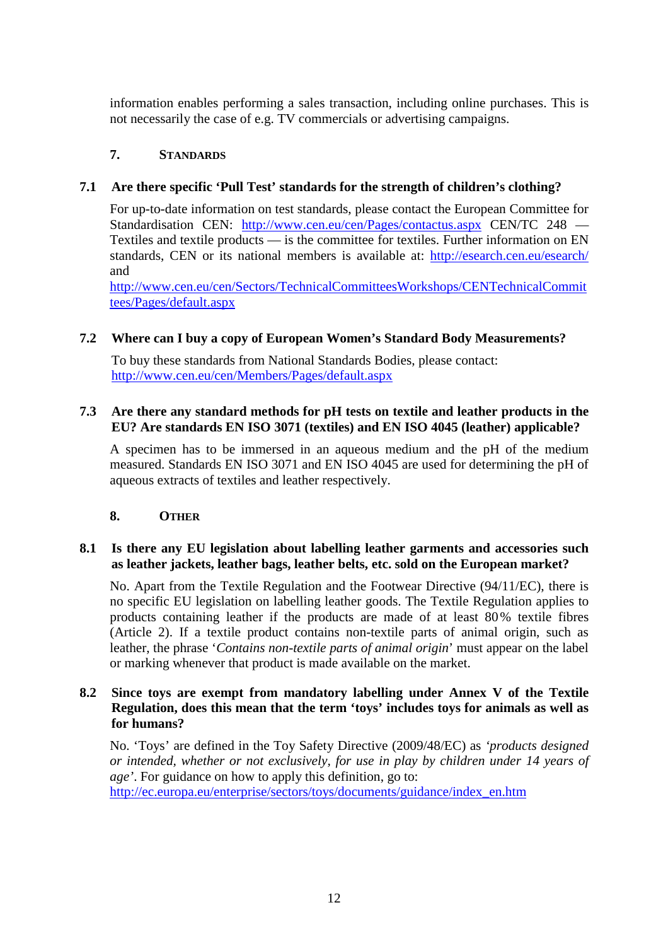information enables performing a sales transaction, including online purchases. This is not necessarily the case of e.g. TV commercials or advertising campaigns.

# **7. STANDARDS**

# **7.1 Are there specific 'Pull Test' standards for the strength of children's clothing?**

For up-to-date information on test standards, please contact the European Committee for Standardisation CEN: http://www.cen.eu/cen/Pages/contactus.aspx CEN/TC 248 — Textiles and textile products — is the committee for textiles. Further information on EN standards, CEN or its national members is available at: http://esearch.cen.eu/esearch/ and

http://www.cen.eu/cen/Sectors/TechnicalCommitteesWorkshops/CENTechnicalCommit tees/Pages/default.aspx

# **7.2 Where can I buy a copy of European Women's Standard Body Measurements?**

To buy these standards from National Standards Bodies, please contact: http://www.cen.eu/cen/Members/Pages/default.aspx

# **7.3 Are there any standard methods for pH tests on textile and leather products in the EU? Are standards EN ISO 3071 (textiles) and EN ISO 4045 (leather) applicable?**

A specimen has to be immersed in an aqueous medium and the pH of the medium measured. Standards EN ISO 3071 and EN ISO 4045 are used for determining the pH of aqueous extracts of textiles and leather respectively.

# **8. OTHER**

# **8.1 Is there any EU legislation about labelling leather garments and accessories such as leather jackets, leather bags, leather belts, etc. sold on the European market?**

No. Apart from the Textile Regulation and the Footwear Directive (94/11/EC), there is no specific EU legislation on labelling leather goods. The Textile Regulation applies to products containing leather if the products are made of at least 80% textile fibres (Article 2). If a textile product contains non-textile parts of animal origin, such as leather, the phrase '*Contains non-textile parts of animal origin*' must appear on the label or marking whenever that product is made available on the market.

# **8.2 Since toys are exempt from mandatory labelling under Annex V of the Textile Regulation, does this mean that the term 'toys' includes toys for animals as well as for humans?**

No. 'Toys' are defined in the Toy Safety Directive (2009/48/EC) as *'products designed or intended, whether or not exclusively, for use in play by children under 14 years of age'*. For guidance on how to apply this definition, go to: http://ec.europa.eu/enterprise/sectors/toys/documents/guidance/index\_en.htm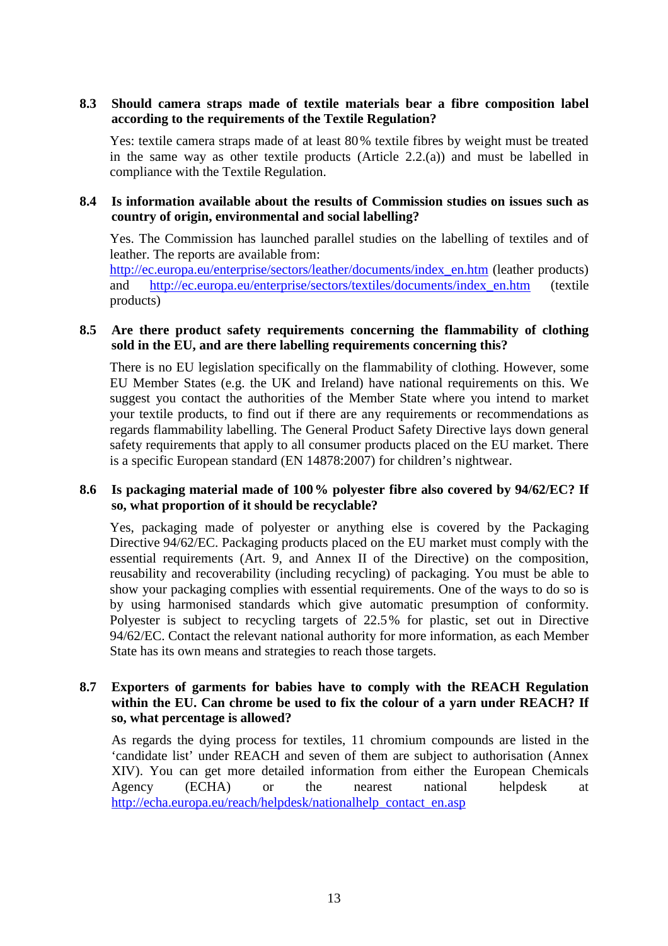# **8.3 Should camera straps made of textile materials bear a fibre composition label according to the requirements of the Textile Regulation?**

Yes: textile camera straps made of at least 80% textile fibres by weight must be treated in the same way as other textile products (Article 2.2.(a)) and must be labelled in compliance with the Textile Regulation.

# **8.4 Is information available about the results of Commission studies on issues such as country of origin, environmental and social labelling?**

Yes. The Commission has launched parallel studies on the labelling of textiles and of leather. The reports are available from:

http://ec.europa.eu/enterprise/sectors/leather/documents/index\_en.htm (leather products) and http://ec.europa.eu/enterprise/sectors/textiles/documents/index\_en.htm (textile products)

#### **8.5 Are there product safety requirements concerning the flammability of clothing sold in the EU, and are there labelling requirements concerning this?**

There is no EU legislation specifically on the flammability of clothing. However, some EU Member States (e.g. the UK and Ireland) have national requirements on this. We suggest you contact the authorities of the Member State where you intend to market your textile products, to find out if there are any requirements or recommendations as regards flammability labelling. The General Product Safety Directive lays down general safety requirements that apply to all consumer products placed on the EU market. There is a specific European standard (EN 14878:2007) for children's nightwear.

#### **8.6 Is packaging material made of 100% polyester fibre also covered by 94/62/EC? If so, what proportion of it should be recyclable?**

Yes, packaging made of polyester or anything else is covered by the Packaging Directive 94/62/EC. Packaging products placed on the EU market must comply with the essential requirements (Art. 9, and Annex II of the Directive) on the composition, reusability and recoverability (including recycling) of packaging. You must be able to show your packaging complies with essential requirements. One of the ways to do so is by using harmonised standards which give automatic presumption of conformity. Polyester is subject to recycling targets of 22.5% for plastic, set out in Directive 94/62/EC. Contact the relevant national authority for more information, as each Member State has its own means and strategies to reach those targets.

#### **8.7 Exporters of garments for babies have to comply with the REACH Regulation within the EU. Can chrome be used to fix the colour of a yarn under REACH? If so, what percentage is allowed?**

As regards the dying process for textiles, 11 chromium compounds are listed in the 'candidate list' under REACH and seven of them are subject to authorisation (Annex XIV). You can get more detailed information from either the European Chemicals Agency (ECHA) or the nearest national helpdesk at http://echa.europa.eu/reach/helpdesk/nationalhelp\_contact\_en.asp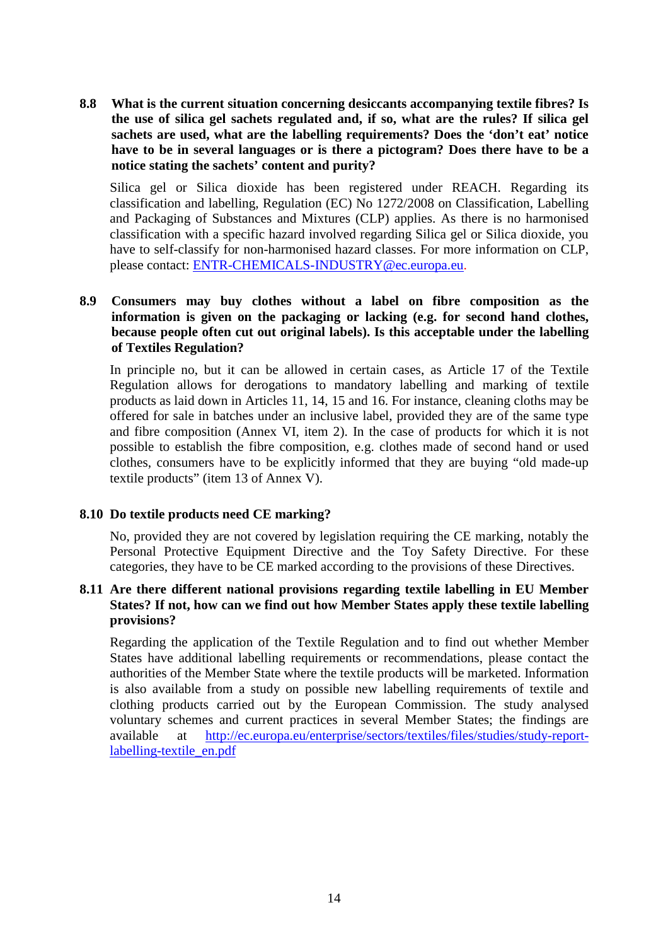**8.8 What is the current situation concerning desiccants accompanying textile fibres? Is the use of silica gel sachets regulated and, if so, what are the rules? If silica gel sachets are used, what are the labelling requirements? Does the 'don't eat' notice have to be in several languages or is there a pictogram? Does there have to be a notice stating the sachets' content and purity?** 

Silica gel or Silica dioxide has been registered under REACH. Regarding its classification and labelling, Regulation (EC) No 1272/2008 on Classification, Labelling and Packaging of Substances and Mixtures (CLP) applies. As there is no harmonised classification with a specific hazard involved regarding Silica gel or Silica dioxide, you have to self-classify for non-harmonised hazard classes. For more information on CLP, please contact: ENTR-CHEMICALS-INDUSTRY@ec.europa.eu.

# **8.9 Consumers may buy clothes without a label on fibre composition as the information is given on the packaging or lacking (e.g. for second hand clothes, because people often cut out original labels). Is this acceptable under the labelling of Textiles Regulation?**

In principle no, but it can be allowed in certain cases, as Article 17 of the Textile Regulation allows for derogations to mandatory labelling and marking of textile products as laid down in Articles 11, 14, 15 and 16. For instance, cleaning cloths may be offered for sale in batches under an inclusive label, provided they are of the same type and fibre composition (Annex VI, item 2). In the case of products for which it is not possible to establish the fibre composition, e.g. clothes made of second hand or used clothes, consumers have to be explicitly informed that they are buying "old made-up textile products" (item 13 of Annex V).

#### **8.10 Do textile products need CE marking?**

No, provided they are not covered by legislation requiring the CE marking, notably the Personal Protective Equipment Directive and the Toy Safety Directive. For these categories, they have to be CE marked according to the provisions of these Directives.

#### **8.11 Are there different national provisions regarding textile labelling in EU Member States? If not, how can we find out how Member States apply these textile labelling provisions?**

Regarding the application of the Textile Regulation and to find out whether Member States have additional labelling requirements or recommendations, please contact the authorities of the Member State where the textile products will be marketed. Information is also available from a study on possible new labelling requirements of textile and clothing products carried out by the European Commission. The study analysed voluntary schemes and current practices in several Member States; the findings are available at http://ec.europa.eu/enterprise/sectors/textiles/files/studies/study-reportlabelling-textile\_en.pdf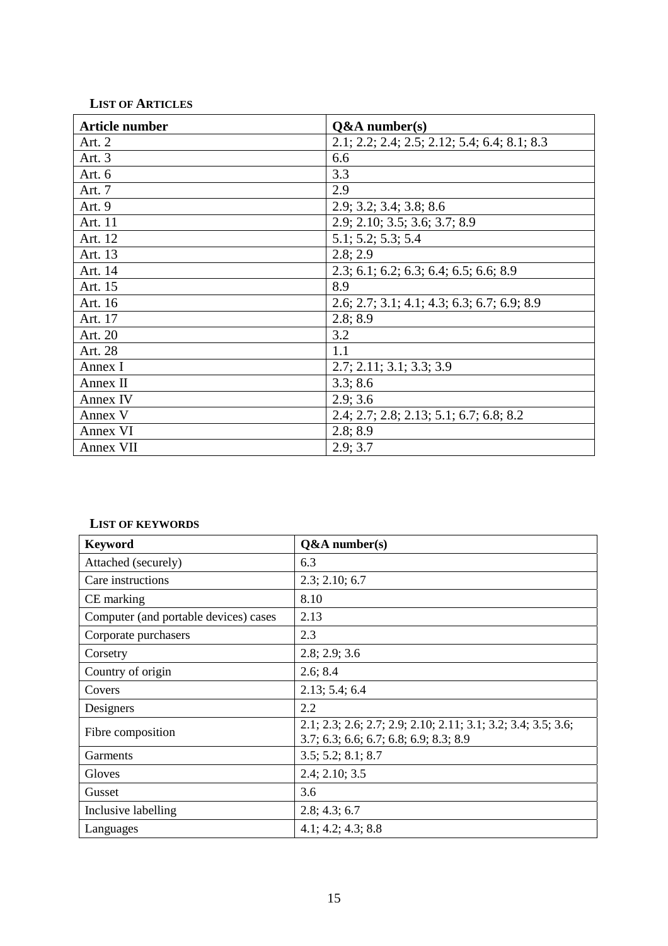# **LIST OF ARTICLES**

| <b>Article number</b> | $Q&A$ number(s)                                |
|-----------------------|------------------------------------------------|
| Art. 2                | $2.1; 2.2; 2.4; 2.5; 2.12; 5.4; 6.4; 8.1; 8.3$ |
| Art. 3                | 6.6                                            |
| Art. $6$              | 3.3                                            |
| Art. 7                | 2.9                                            |
| Art. 9                | 2.9; 3.2; 3.4; 3.8; 8.6                        |
| Art. 11               | 2.9; 2.10; 3.5; 3.6; 3.7; 8.9                  |
| Art. 12               | 5.1; 5.2; 5.3; 5.4                             |
| Art. 13               | 2.8; 2.9                                       |
| Art. 14               | $2.3; 6.1; 6.2; 6.3; 6.4; 6.5; 6.6; 8.9$       |
| Art. 15               | 8.9                                            |
| Art. 16               | $2.6; 2.7; 3.1; 4.1; 4.3; 6.3; 6.7; 6.9; 8.9$  |
| Art. 17               | 2.8; 8.9                                       |
| Art. 20               | 3.2                                            |
| Art. 28               | 1.1                                            |
| Annex I               | 2.7; 2.11; 3.1; 3.3; 3.9                       |
| Annex II              | 3.3; 8.6                                       |
| Annex IV              | 2.9; 3.6                                       |
| Annex V               | $2.4; 2.7; 2.8; 2.13; 5.1; 6.7; 6.8; 8.2$      |
| Annex VI              | 2.8; 8.9                                       |
| Annex VII             | 2.9; 3.7                                       |

### **LIST OF KEYWORDS**

| <b>Keyword</b>                        | $Q&A$ number(s)                                                                                           |
|---------------------------------------|-----------------------------------------------------------------------------------------------------------|
| Attached (securely)                   | 6.3                                                                                                       |
| Care instructions                     | 2.3; 2.10; 6.7                                                                                            |
| CE marking                            | 8.10                                                                                                      |
| Computer (and portable devices) cases | 2.13                                                                                                      |
| Corporate purchasers                  | 2.3                                                                                                       |
| Corsetry                              | 2.8; 2.9; 3.6                                                                                             |
| Country of origin                     | 2.6; 8.4                                                                                                  |
| Covers                                | 2.13; 5.4; 6.4                                                                                            |
| Designers                             | 2.2                                                                                                       |
| Fibre composition                     | 2.1; 2.3; 2.6; 2.7; 2.9; 2.10; 2.11; 3.1; 3.2; 3.4; 3.5; 3.6;<br>$3.7; 6.3; 6.6; 6.7; 6.8; 6.9; 8.3; 8.9$ |
| Garments                              | 3.5; 5.2; 8.1; 8.7                                                                                        |
| Gloves                                | 2.4; 2.10; 3.5                                                                                            |
| Gusset                                | 3.6                                                                                                       |
| Inclusive labelling                   | 2.8; 4.3; 6.7                                                                                             |
| Languages                             | 4.1; 4.2; 4.3; 8.8                                                                                        |